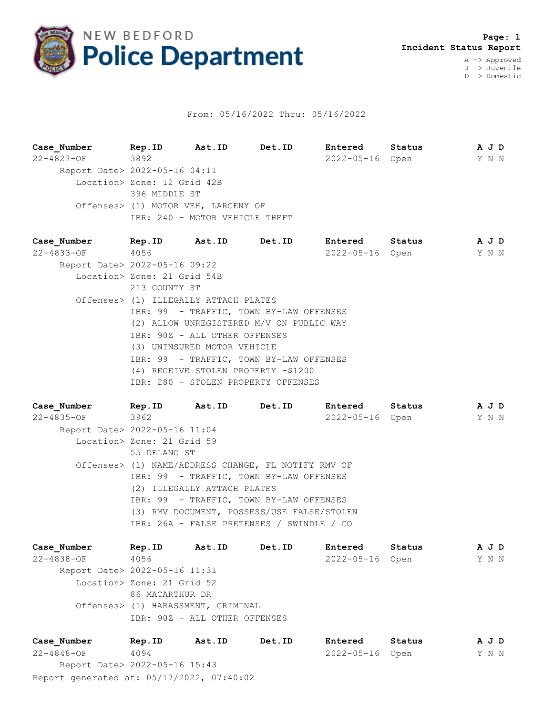

## From: 05/16/2022 Thru: 05/16/2022

**Case\_Number Rep.ID Ast.ID Det.ID Entered Status A J D** 22-4827-OF 3892 2022-05-16 Open Y N N Report Date> 2022-05-16 04:11 Location> Zone: 12 Grid 42B 396 MIDDLE ST Offenses> (1) MOTOR VEH, LARCENY OF IBR: 240 - MOTOR VEHICLE THEFT

**Case\_Number Rep.ID Ast.ID Det.ID Entered Status A J D** 22-4833-OF 4056 2022-05-16 Open Y N N Report Date> 2022-05-16 09:22 Location> Zone: 21 Grid 54B 213 COUNTY ST Offenses> (1) ILLEGALLY ATTACH PLATES IBR: 99 - TRAFFIC, TOWN BY-LAW OFFENSES (2) ALLOW UNREGISTERED M/V ON PUBLIC WAY IBR: 90Z - ALL OTHER OFFENSES (3) UNINSURED MOTOR VEHICLE IBR: 99 - TRAFFIC, TOWN BY-LAW OFFENSES (4) RECEIVE STOLEN PROPERTY -\$1200 IBR: 280 - STOLEN PROPERTY OFFENSES

| Case Number                   |                                                                        | Rep. ID Ast. ID Det. ID                             |  | <b>Entered</b>  | Status | A J D |  |  |
|-------------------------------|------------------------------------------------------------------------|-----------------------------------------------------|--|-----------------|--------|-------|--|--|
| 22-4835-OF 3962               |                                                                        |                                                     |  | 2022-05-16 Open |        | Y N N |  |  |
| Report Date> 2022-05-16 11:04 |                                                                        |                                                     |  |                 |        |       |  |  |
|                               | Location> Zone: 21 Grid 59                                             |                                                     |  |                 |        |       |  |  |
|                               | 55 DELANO ST                                                           |                                                     |  |                 |        |       |  |  |
|                               |                                                                        | Offenses> (1) NAME/ADDRESS CHANGE, FL NOTIFY RMV OF |  |                 |        |       |  |  |
|                               | IBR: 99 - TRAFFIC, TOWN BY-LAW OFFENSES<br>(2) ILLEGALLY ATTACH PLATES |                                                     |  |                 |        |       |  |  |
|                               |                                                                        |                                                     |  |                 |        |       |  |  |
|                               |                                                                        | IBR: 99 - TRAFFIC, TOWN BY-LAW OFFENSES             |  |                 |        |       |  |  |
|                               |                                                                        | (3) RMV DOCUMENT, POSSESS/USE FALSE/STOLEN          |  |                 |        |       |  |  |
|                               | IBR: 26A - FALSE PRETENSES / SWINDLE / CO                              |                                                     |  |                 |        |       |  |  |
|                               |                                                                        |                                                     |  |                 |        |       |  |  |

**Case\_Number Rep.ID Ast.ID Det.ID Entered Status A J D** 22-4838-OF 4056 2022-05-16 Open Y N N Report Date> 2022-05-16 11:31 Location> Zone: 21 Grid 52 86 MACARTHUR DR Offenses> (1) HARASSMENT, CRIMINAL IBR: 90Z - ALL OTHER OFFENSES

Report generated at: 05/17/2022, 07:40:02 **Case\_Number Rep.ID Ast.ID Det.ID Entered Status A J D** 22-4848-OF 4094 2022-05-16 Open Y N N Report Date> 2022-05-16 15:43